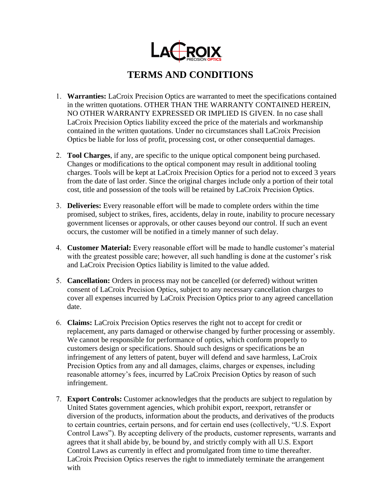

## **TERMS AND CONDITIONS**

- 1. **Warranties:** LaCroix Precision Optics are warranted to meet the specifications contained in the written quotations. OTHER THAN THE WARRANTY CONTAINED HEREIN, NO OTHER WARRANTY EXPRESSED OR IMPLIED IS GIVEN. In no case shall LaCroix Precision Optics liability exceed the price of the materials and workmanship contained in the written quotations. Under no circumstances shall LaCroix Precision Optics be liable for loss of profit, processing cost, or other consequential damages.
- 2. **Tool Charges**, if any, are specific to the unique optical component being purchased. Changes or modifications to the optical component may result in additional tooling charges. Tools will be kept at LaCroix Precision Optics for a period not to exceed 3 years from the date of last order. Since the original charges include only a portion of their total cost, title and possession of the tools will be retained by LaCroix Precision Optics.
- 3. **Deliveries:** Every reasonable effort will be made to complete orders within the time promised, subject to strikes, fires, accidents, delay in route, inability to procure necessary government licenses or approvals, or other causes beyond our control. If such an event occurs, the customer will be notified in a timely manner of such delay.
- 4. **Customer Material:** Every reasonable effort will be made to handle customer's material with the greatest possible care; however, all such handling is done at the customer's risk and LaCroix Precision Optics liability is limited to the value added.
- 5. **Cancellation:** Orders in process may not be cancelled (or deferred) without written consent of LaCroix Precision Optics, subject to any necessary cancellation charges to cover all expenses incurred by LaCroix Precision Optics prior to any agreed cancellation date.
- 6. **Claims:** LaCroix Precision Optics reserves the right not to accept for credit or replacement, any parts damaged or otherwise changed by further processing or assembly. We cannot be responsible for performance of optics, which conform properly to customers design or specifications. Should such designs or specifications be an infringement of any letters of patent, buyer will defend and save harmless, LaCroix Precision Optics from any and all damages, claims, charges or expenses, including reasonable attorney's fees, incurred by LaCroix Precision Optics by reason of such infringement.
- 7. **Export Controls:** Customer acknowledges that the products are subject to regulation by United States government agencies, which prohibit export, reexport, retransfer or diversion of the products, information about the products, and derivatives of the products to certain countries, certain persons, and for certain end uses (collectively, "U.S. Export Control Laws"). By accepting delivery of the products, customer represents, warrants and agrees that it shall abide by, be bound by, and strictly comply with all U.S. Export Control Laws as currently in effect and promulgated from time to time thereafter. LaCroix Precision Optics reserves the right to immediately terminate the arrangement with